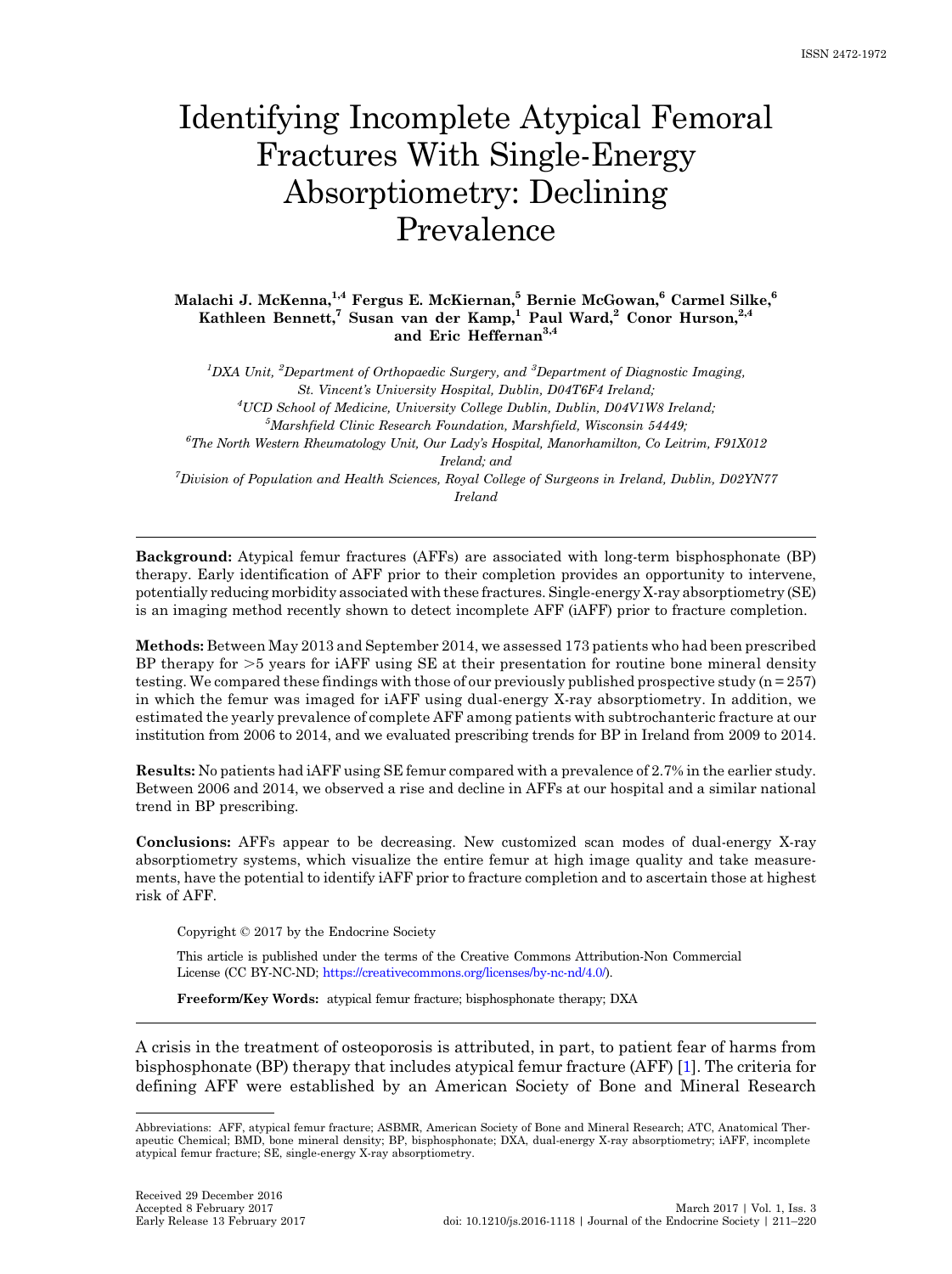# Identifying Incomplete Atypical Femoral Fractures With Single-Energy Absorptiometry: Declining Prevalence

Malachi J. McKenna, $^{1,4}$  Fergus E. McKiernan, $^5$  Bernie McGowan, $^6$  Carmel Silke, $^6$ Kathleen Bennett,<sup>7</sup> Susan van der Kamp,<sup>1</sup> Paul Ward,<sup>2</sup> Conor Hurson,<sup>2,4</sup> and Eric Heffernan<sup>3,4</sup>

<sup>1</sup>DXA Unit, <sup>2</sup>Department of Orthopaedic Surgery, and <sup>3</sup>Department of Diagnostic Imaging, St. Vincent's University Hospital, Dublin, D04T6F4 Ireland; <sup>4</sup>UCD School of Medicine, University College Dublin, Dublin, D04V1W8 Ireland;  $^5$ Marshfield Clinic Research Foundation, Marshfield, Wisconsin 54449; 6 The North Western Rheumatology Unit, Our Lady's Hospital, Manorhamilton, Co Leitrim, F91X012 Ireland; and <sup>7</sup>Division of Population and Health Sciences, Royal College of Surgeons in Ireland, Dublin, D02YN77 Ireland

Background: Atypical femur fractures (AFFs) are associated with long-term bisphosphonate (BP) therapy. Early identification of AFF prior to their completion provides an opportunity to intervene, potentially reducing morbidity associated with these fractures. Single-energy X-ray absorptiometry (SE) is an imaging method recently shown to detect incomplete AFF (iAFF) prior to fracture completion.

Methods: Between May 2013 and September 2014, we assessed 173 patients who had been prescribed BP therapy for  $>5$  years for iAFF using SE at their presentation for routine bone mineral density testing. We compared these findings with those of our previously published prospective study (n = 257) in which the femur was imaged for iAFF using dual-energy X-ray absorptiometry. In addition, we estimated the yearly prevalence of complete AFF among patients with subtrochanteric fracture at our institution from 2006 to 2014, and we evaluated prescribing trends for BP in Ireland from 2009 to 2014.

Results: No patients had iAFF using SE femur compared with a prevalence of 2.7% in the earlier study. Between 2006 and 2014, we observed a rise and decline in AFFs at our hospital and a similar national trend in BP prescribing.

Conclusions: AFFs appear to be decreasing. New customized scan modes of dual-energy X-ray absorptiometry systems, which visualize the entire femur at high image quality and take measurements, have the potential to identify iAFF prior to fracture completion and to ascertain those at highest risk of AFF.

Copyright © 2017 by the Endocrine Society

This article is published under the terms of the Creative Commons Attribution-Non Commercial License (CC BY-NC-ND; <https://creativecommons.org/licenses/by-nc-nd/4.0/>).

Freeform/Key Words: atypical femur fracture; bisphosphonate therapy; DXA

A crisis in the treatment of osteoporosis is attributed, in part, to patient fear of harms from bisphosphonate (BP) therapy that includes atypical femur fracture (AFF) [\[1](#page-7-0)]. The criteria for defining AFF were established by an American Society of Bone and Mineral Research

Abbreviations: AFF, atypical femur fracture; ASBMR, American Society of Bone and Mineral Research; ATC, Anatomical Therapeutic Chemical; BMD, bone mineral density; BP, bisphosphonate; DXA, dual-energy X-ray absorptiometry; iAFF, incomplete atypical femur fracture; SE, single-energy X-ray absorptiometry.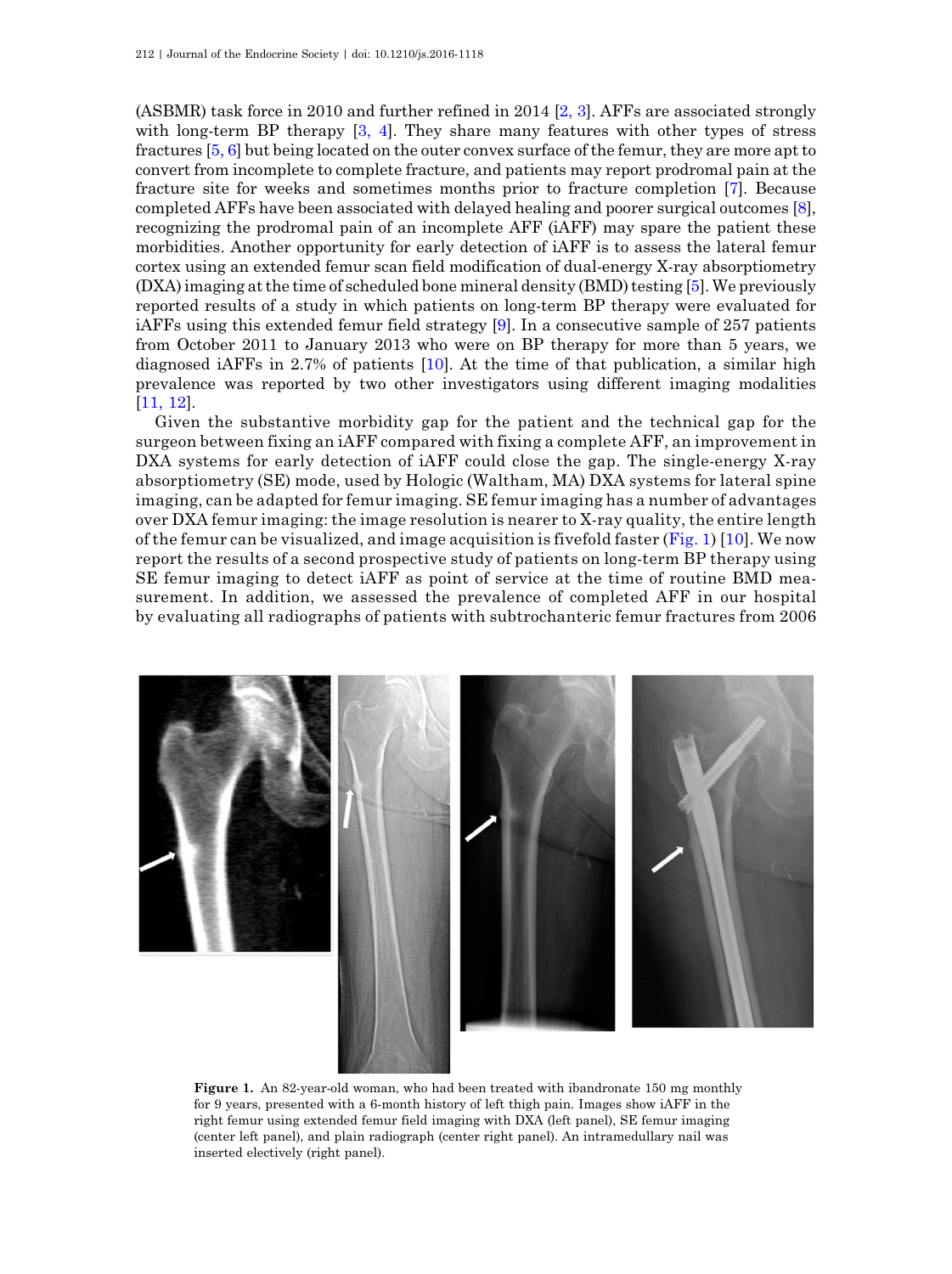<span id="page-1-0"></span>(ASBMR) task force in 2010 and further refined in 2014 [2, 3]. AFFs are associated strongly with long-term BP therapy [3, 4]. They share many features with other types of stress fractures [5, 6] but being located on the outer convex surface of the femur, they are more apt to convert from incomplete to complete fracture, and patients may report prodromal pain at the fracture site for weeks and sometimes months prior to fracture completion [\[7\]](#page-8-0). Because completed AFFs have been associated with delayed healing and poorer surgical outcomes [\[8\]](#page-8-0), recognizing the prodromal pain of an incomplete AFF (iAFF) may spare the patient these morbidities. Another opportunity for early detection of iAFF is to assess the lateral femur cortex using an extended femur scan field modification of dual-energy X-ray absorptiometry (DXA) imaging at the time of scheduled bone mineral density (BMD) testing [[5](#page-8-0)]. We previously reported results of a study in which patients on long-term BP therapy were evaluated for iAFFs using this extended femur field strategy [[9](#page-8-0)]. In a consecutive sample of 257 patients from October 2011 to January 2013 who were on BP therapy for more than 5 years, we diagnosed iAFFs in 2.7% of patients [[10\]](#page-8-0). At the time of that publication, a similar high prevalence was reported by two other investigators using different imaging modalities [11, 12].

Given the substantive morbidity gap for the patient and the technical gap for the surgeon between fixing an iAFF compared with fixing a complete AFF, an improvement in DXA systems for early detection of iAFF could close the gap. The single-energy X-ray absorptiometry (SE) mode, used by Hologic (Waltham, MA) DXA systems for lateral spine imaging, can be adapted for femur imaging. SE femur imaging has a number of advantages over DXA femur imaging: the image resolution is nearer to X-ray quality, the entire length of the femur can be visualized, and image acquisition is fivefold faster (Fig. 1)  $[10]$  $[10]$  $[10]$ . We now report the results of a second prospective study of patients on long-term BP therapy using SE femur imaging to detect iAFF as point of service at the time of routine BMD measurement. In addition, we assessed the prevalence of completed AFF in our hospital by evaluating all radiographs of patients with subtrochanteric femur fractures from 2006



Figure 1. An 82-year-old woman, who had been treated with ibandronate 150 mg monthly for 9 years, presented with a 6-month history of left thigh pain. Images show iAFF in the right femur using extended femur field imaging with DXA (left panel), SE femur imaging (center left panel), and plain radiograph (center right panel). An intramedullary nail was inserted electively (right panel).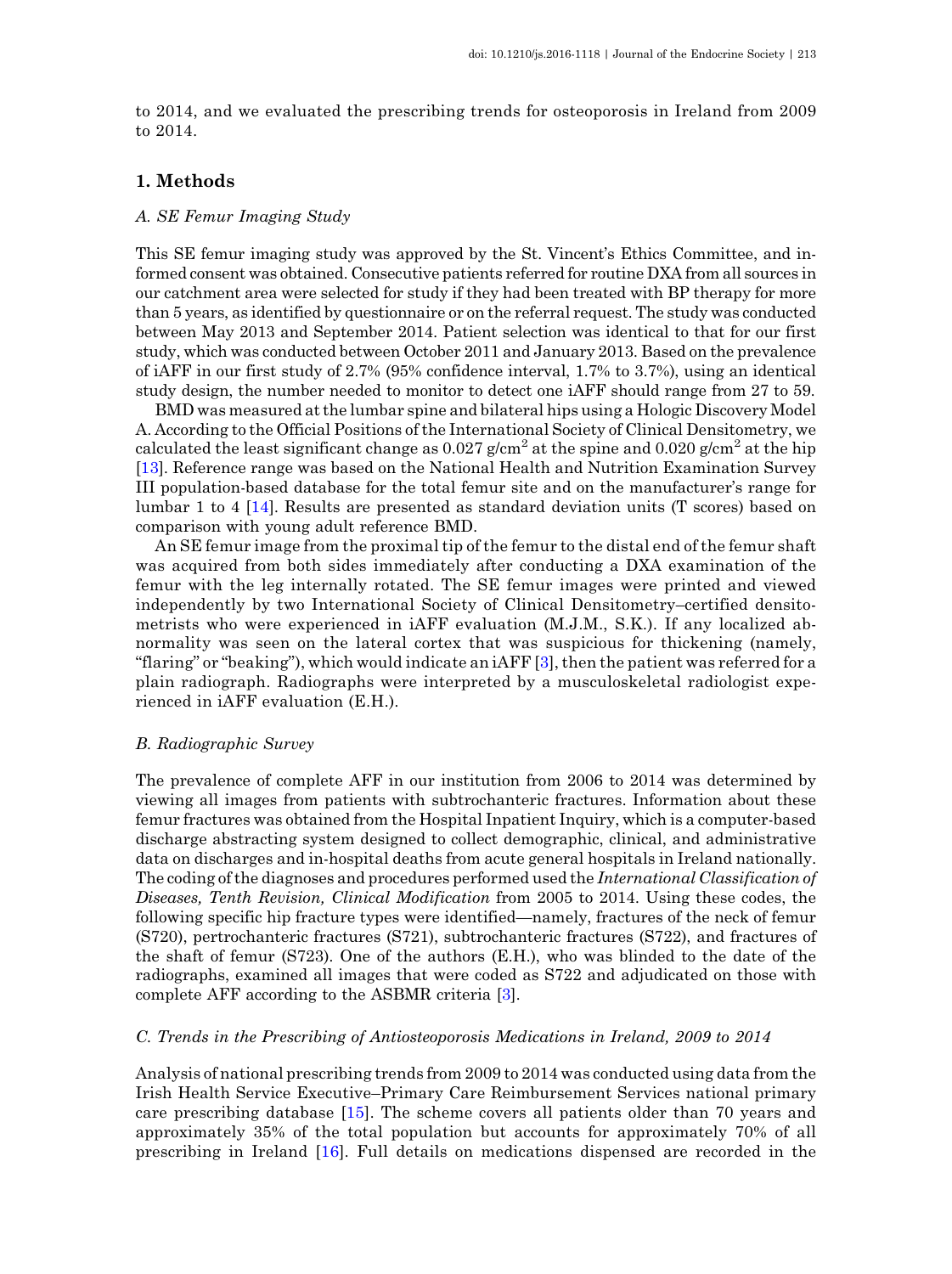to 2014, and we evaluated the prescribing trends for osteoporosis in Ireland from 2009 to 2014.

# 1. Methods

#### A. SE Femur Imaging Study

This SE femur imaging study was approved by the St. Vincent's Ethics Committee, and informed consent was obtained. Consecutive patients referred for routine DXA from all sources in our catchment area were selected for study if they had been treated with BP therapy for more than 5 years, as identified by questionnaire or on the referral request. The study was conducted between May 2013 and September 2014. Patient selection was identical to that for our first study, which was conducted between October 2011 and January 2013. Based on the prevalence of iAFF in our first study of 2.7% (95% confidence interval, 1.7% to 3.7%), using an identical study design, the number needed to monitor to detect one iAFF should range from 27 to 59.

BMD was measured at the lumbar spine and bilateral hips using a Hologic Discovery Model A. According to the Official Positions of the International Society of Clinical Densitometry, we calculated the least significant change as  $0.027$  g/cm<sup>2</sup> at the spine and  $0.020$  g/cm<sup>2</sup> at the hip [[13\]](#page-8-0). Reference range was based on the National Health and Nutrition Examination Survey III population-based database for the total femur site and on the manufacturer's range for lumbar 1 to 4 [\[14](#page-8-0)]. Results are presented as standard deviation units (T scores) based on comparison with young adult reference BMD.

An SE femur image from the proximal tip of the femur to the distal end of the femur shaft was acquired from both sides immediately after conducting a DXA examination of the femur with the leg internally rotated. The SE femur images were printed and viewed independently by two International Society of Clinical Densitometry–certified densitometrists who were experienced in iAFF evaluation (M.J.M., S.K.). If any localized abnormality was seen on the lateral cortex that was suspicious for thickening (namely, "flaring" or "beaking"), which would indicate an iAFF [[3](#page-7-0)], then the patient was referred for a plain radiograph. Radiographs were interpreted by a musculoskeletal radiologist experienced in iAFF evaluation (E.H.).

### B. Radiographic Survey

The prevalence of complete AFF in our institution from 2006 to 2014 was determined by viewing all images from patients with subtrochanteric fractures. Information about these femur fractures was obtained from the Hospital Inpatient Inquiry, which is a computer-based discharge abstracting system designed to collect demographic, clinical, and administrative data on discharges and in-hospital deaths from acute general hospitals in Ireland nationally. The coding of the diagnoses and procedures performed used the *International Classification of* Diseases, Tenth Revision, Clinical Modification from 2005 to 2014. Using these codes, the following specific hip fracture types were identified—namely, fractures of the neck of femur (S720), pertrochanteric fractures (S721), subtrochanteric fractures (S722), and fractures of the shaft of femur (S723). One of the authors (E.H.), who was blinded to the date of the radiographs, examined all images that were coded as S722 and adjudicated on those with complete AFF according to the ASBMR criteria [\[3\]](#page-7-0).

# C. Trends in the Prescribing of Antiosteoporosis Medications in Ireland, 2009 to 2014

Analysis of national prescribing trends from 2009 to 2014 was conducted using data from the Irish Health Service Executive–Primary Care Reimbursement Services national primary care prescribing database [[15](#page-8-0)]. The scheme covers all patients older than 70 years and approximately 35% of the total population but accounts for approximately 70% of all prescribing in Ireland [\[16](#page-8-0)]. Full details on medications dispensed are recorded in the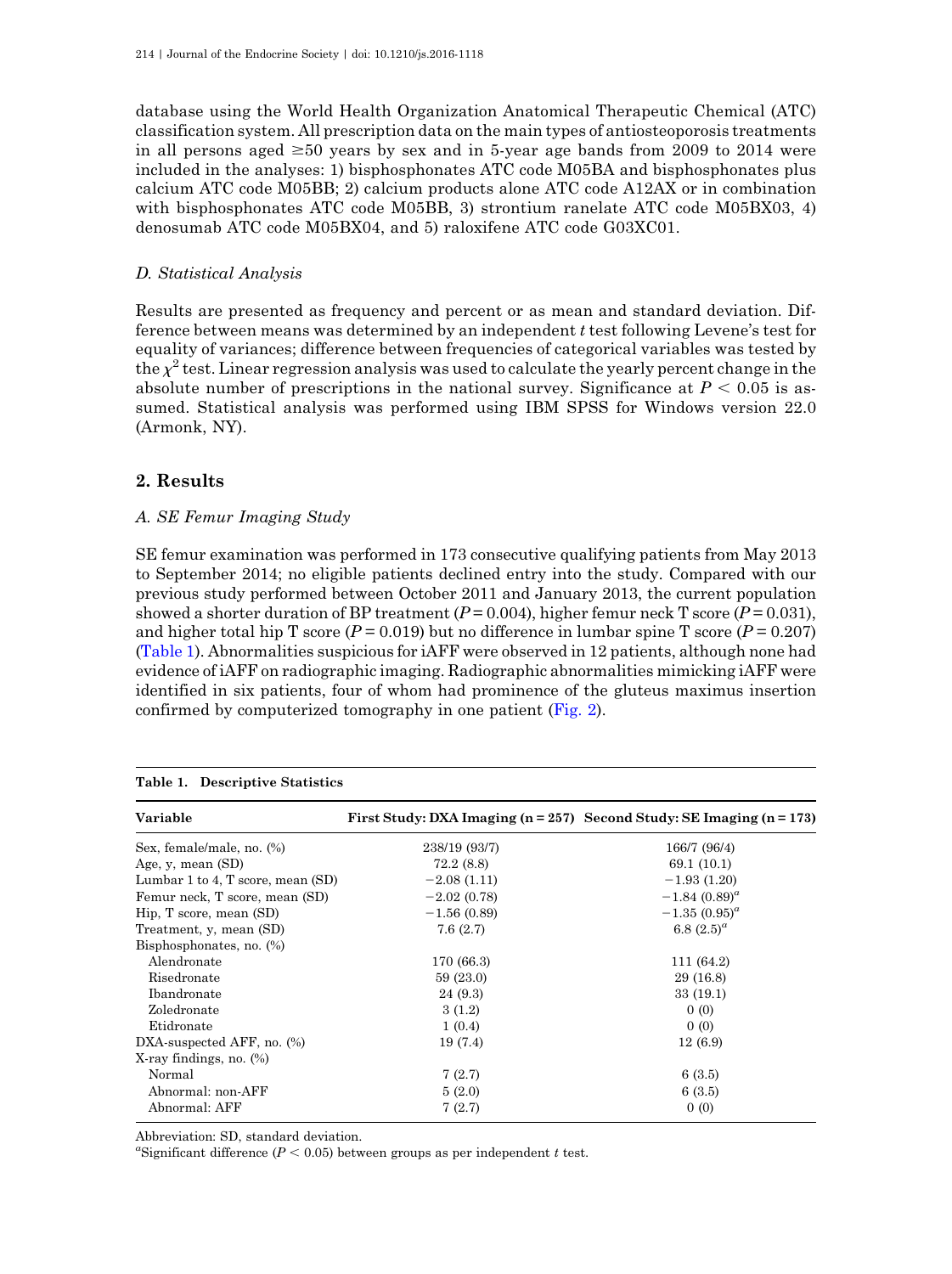database using the World Health Organization Anatomical Therapeutic Chemical (ATC) classification system. All prescription data on the main types of antiosteoporosis treatments in all persons aged  $\geq 50$  years by sex and in 5-year age bands from 2009 to 2014 were included in the analyses: 1) bisphosphonates ATC code M05BA and bisphosphonates plus calcium ATC code M05BB; 2) calcium products alone ATC code A12AX or in combination with bisphosphonates ATC code M05BB, 3) strontium ranelate ATC code M05BX03, 4) denosumab ATC code M05BX04, and 5) raloxifene ATC code G03XC01.

#### D. Statistical Analysis

Results are presented as frequency and percent or as mean and standard deviation. Difference between means was determined by an independent t test following Levene's test for equality of variances; difference between frequencies of categorical variables was tested by the  $\chi^2$  test. Linear regression analysis was used to calculate the yearly percent change in the absolute number of prescriptions in the national survey. Significance at  $P < 0.05$  is assumed. Statistical analysis was performed using IBM SPSS for Windows version 22.0 (Armonk, NY).

# 2. Results

#### A. SE Femur Imaging Study

SE femur examination was performed in 173 consecutive qualifying patients from May 2013 to September 2014; no eligible patients declined entry into the study. Compared with our previous study performed between October 2011 and January 2013, the current population showed a shorter duration of BP treatment ( $P = 0.004$ ), higher femur neck T score ( $P = 0.031$ ), and higher total hip T score ( $P = 0.019$ ) but no difference in lumbar spine T score ( $P = 0.207$ ) (Table 1). Abnormalities suspicious for iAFF were observed in 12 patients, although none had evidence of iAFF on radiographic imaging. Radiographic abnormalities mimicking iAFF were identified in six patients, four of whom had prominence of the gluteus maximus insertion confirmed by computerized tomography in one patient [\(Fig. 2\)](#page-4-0).

| First Study: DXA Imaging $(n = 257)$ Second Study: SE Imaging $(n = 173)$ |
|---------------------------------------------------------------------------|
| 166/7 (96/4)                                                              |
| 69.1 (10.1)                                                               |
| $-1.93(1.20)$                                                             |
| $-1.84~(0.89)^{a}$                                                        |
| $-1.35(0.95)^{a}$                                                         |
| 6.8 $(2.5)^a$                                                             |
|                                                                           |
| 111 (64.2)                                                                |
| 29 (16.8)                                                                 |
| 33(19.1)                                                                  |
| 0(0)                                                                      |
| 0(0)                                                                      |
| 12(6.9)                                                                   |
|                                                                           |
| 6(3.5)                                                                    |
| 6(3.5)                                                                    |
| 0(0)                                                                      |
|                                                                           |

Table 1. Descriptive Statistics

Abbreviation: SD, standard deviation.

<sup>a</sup>Significant difference ( $P < 0.05$ ) between groups as per independent t test.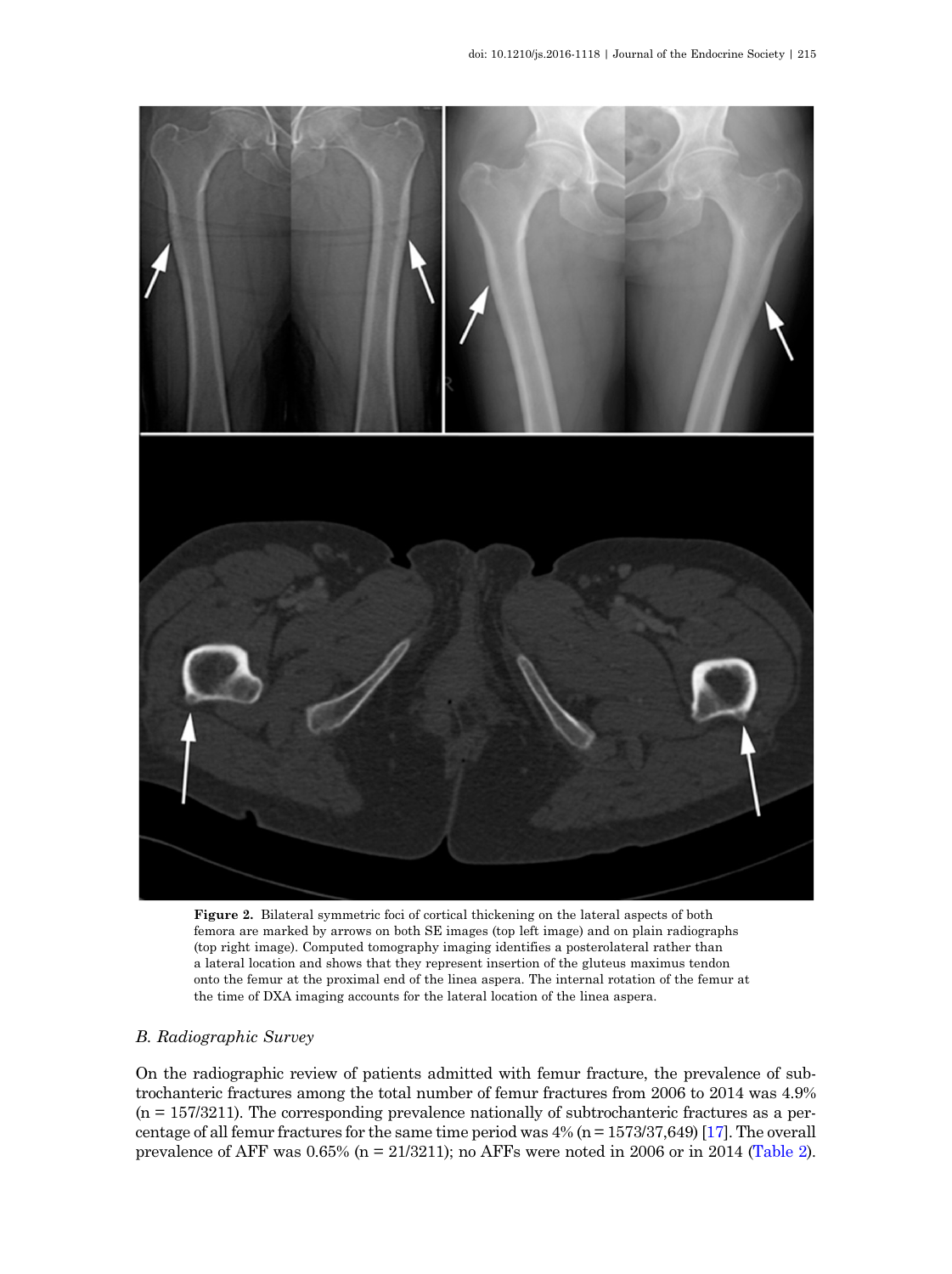<span id="page-4-0"></span>

Figure 2. Bilateral symmetric foci of cortical thickening on the lateral aspects of both femora are marked by arrows on both SE images (top left image) and on plain radiographs (top right image). Computed tomography imaging identifies a posterolateral rather than a lateral location and shows that they represent insertion of the gluteus maximus tendon onto the femur at the proximal end of the linea aspera. The internal rotation of the femur at the time of DXA imaging accounts for the lateral location of the linea aspera.

# B. Radiographic Survey

On the radiographic review of patients admitted with femur fracture, the prevalence of subtrochanteric fractures among the total number of femur fractures from 2006 to 2014 was 4.9%  $(n = 157/3211)$ . The corresponding prevalence nationally of subtrochanteric fractures as a percentage of all femur fractures for the same time period was  $4\%$  (n = 1573/37,649) [\[17\]](#page-8-0). The overall prevalence of AFF was  $0.65\%$  (n = 21/3211); no AFFs were noted in 2006 or in 2014 ([Table 2](#page-5-0)).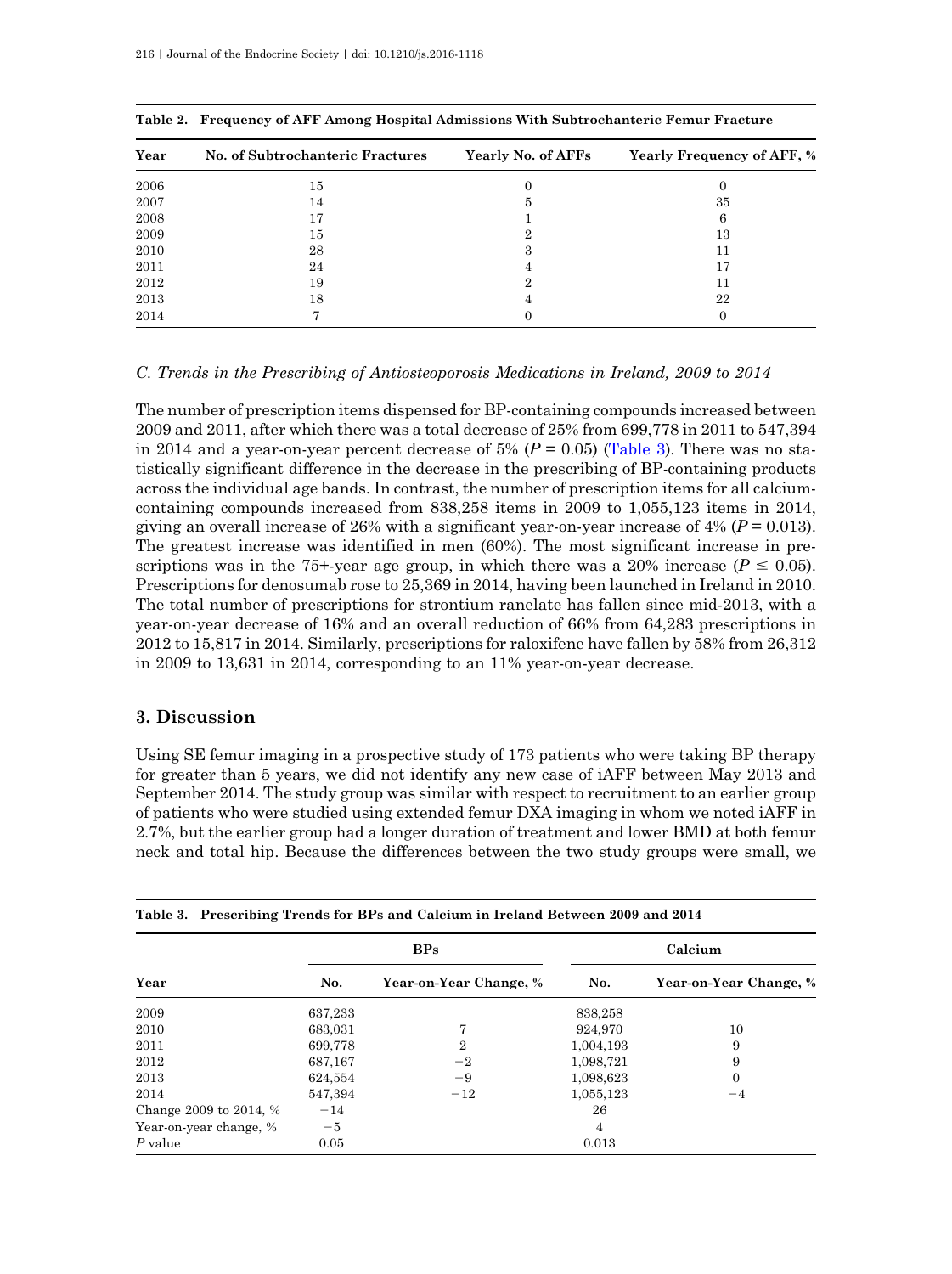| Year | No. of Subtrochanteric Fractures | Yearly No. of AFFs |        |
|------|----------------------------------|--------------------|--------|
| 2006 | 15                               | 0                  | $\cup$ |
| 2007 | 14                               | 5                  | 35     |
| 2008 | 17                               |                    | 6      |
| 2009 | 15                               | ິ                  | 13     |
| 2010 | 28                               | 3                  | 11     |
| 2011 | 24                               | 4                  | 17     |
| 2012 | 19                               | 2                  | 11     |
| 2013 | 18                               | 4                  | 22     |
| 2014 |                                  |                    | 0      |

<span id="page-5-0"></span>Table 2. Frequency of AFF Among Hospital Admissions With Subtrochanteric Femur Fracture

#### C. Trends in the Prescribing of Antiosteoporosis Medications in Ireland, 2009 to 2014

The number of prescription items dispensed for BP-containing compounds increased between 2009 and 2011, after which there was a total decrease of 25% from 699,778 in 2011 to 547,394 in 2014 and a year-on-year percent decrease of  $5\%$  ( $P = 0.05$ ) (Table 3). There was no statistically significant difference in the decrease in the prescribing of BP-containing products across the individual age bands. In contrast, the number of prescription items for all calciumcontaining compounds increased from 838,258 items in 2009 to 1,055,123 items in 2014, giving an overall increase of 26% with a significant year-on-year increase of 4% ( $P = 0.013$ ). The greatest increase was identified in men (60%). The most significant increase in prescriptions was in the 75+-year age group, in which there was a 20% increase ( $P \le 0.05$ ). Prescriptions for denosumab rose to 25,369 in 2014, having been launched in Ireland in 2010. The total number of prescriptions for strontium ranelate has fallen since mid-2013, with a year-on-year decrease of 16% and an overall reduction of 66% from 64,283 prescriptions in 2012 to 15,817 in 2014. Similarly, prescriptions for raloxifene have fallen by 58% from 26,312 in 2009 to 13,631 in 2014, corresponding to an 11% year-on-year decrease.

### 3. Discussion

Using SE femur imaging in a prospective study of 173 patients who were taking BP therapy for greater than 5 years, we did not identify any new case of iAFF between May 2013 and September 2014. The study group was similar with respect to recruitment to an earlier group of patients who were studied using extended femur DXA imaging in whom we noted iAFF in 2.7%, but the earlier group had a longer duration of treatment and lower BMD at both femur neck and total hip. Because the differences between the two study groups were small, we

|                        | BP <sub>S</sub> |                        | Calcium   |                        |
|------------------------|-----------------|------------------------|-----------|------------------------|
| Year                   | No.             | Year-on-Year Change, % | No.       | Year-on-Year Change, % |
| 2009                   | 637,233         |                        | 838,258   |                        |
| 2010                   | 683,031         |                        | 924,970   | 10                     |
| 2011                   | 699,778         | $\overline{2}$         | 1,004,193 | 9                      |
| 2012                   | 687,167         | $-2$                   | 1,098,721 | 9                      |
| 2013                   | 624,554         | -9                     | 1,098,623 | $\overline{0}$         |
| 2014                   | 547,394         | $-12$                  | 1,055,123 | $-4$                   |
| Change 2009 to 2014, % | $-14$           |                        | 26        |                        |
| Year-on-year change, % | $-5$            |                        | 4         |                        |
| $P$ value              | 0.05            |                        | 0.013     |                        |

Table 3. Prescribing Trends for BPs and Calcium in Ireland Between 2009 and 2014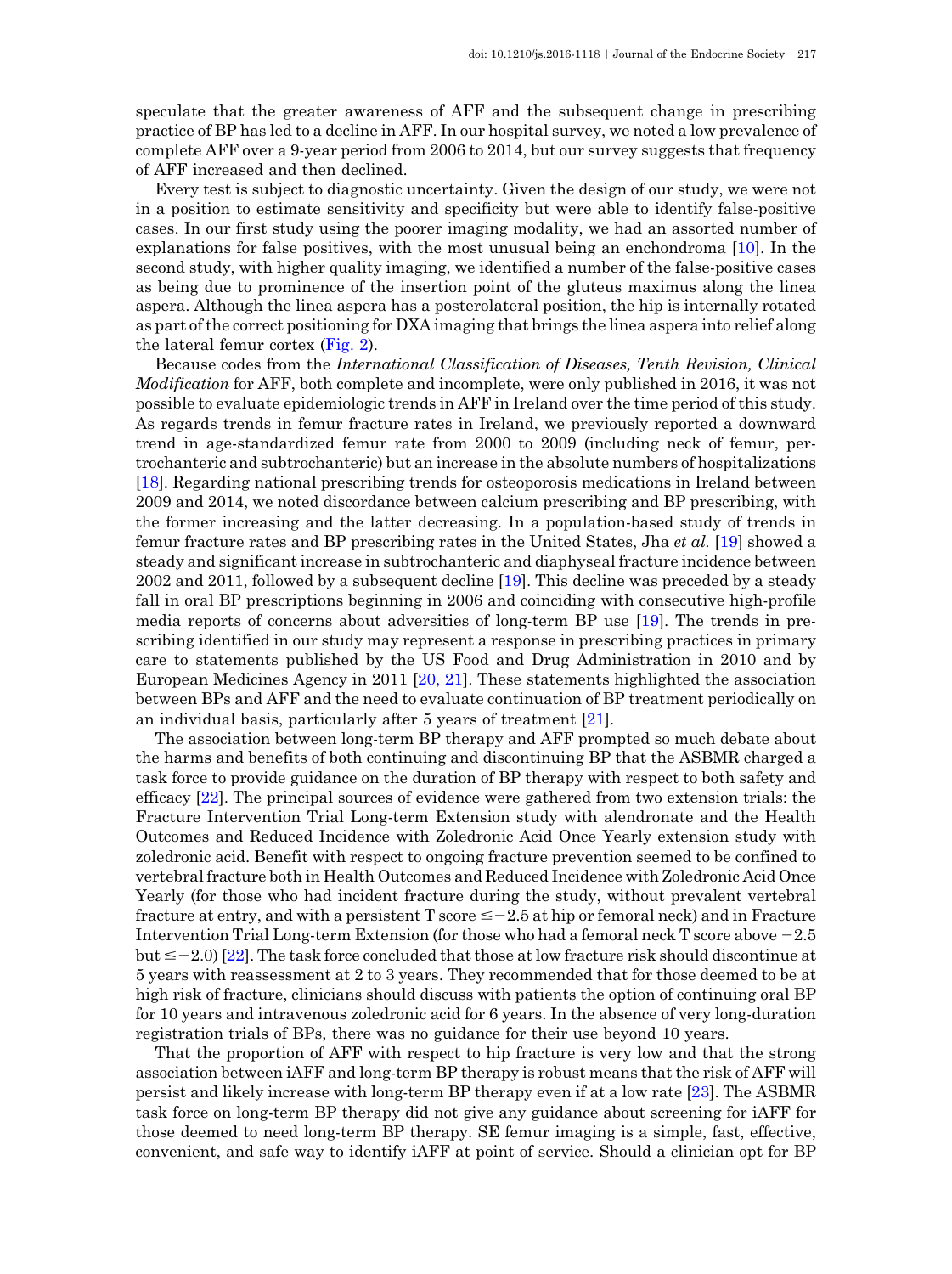speculate that the greater awareness of AFF and the subsequent change in prescribing practice of BP has led to a decline in AFF. In our hospital survey, we noted a low prevalence of complete AFF over a 9-year period from 2006 to 2014, but our survey suggests that frequency of AFF increased and then declined.

Every test is subject to diagnostic uncertainty. Given the design of our study, we were not in a position to estimate sensitivity and specificity but were able to identify false-positive cases. In our first study using the poorer imaging modality, we had an assorted number of explanations for false positives, with the most unusual being an enchondroma [\[10](#page-8-0)]. In the second study, with higher quality imaging, we identified a number of the false-positive cases as being due to prominence of the insertion point of the gluteus maximus along the linea aspera. Although the linea aspera has a posterolateral position, the hip is internally rotated as part of the correct positioning for DXA imaging that brings the linea aspera into relief along the lateral femur cortex ([Fig. 2](#page-4-0)).

Because codes from the International Classification of Diseases, Tenth Revision, Clinical Modification for AFF, both complete and incomplete, were only published in 2016, it was not possible to evaluate epidemiologic trends in AFF in Ireland over the time period of this study. As regards trends in femur fracture rates in Ireland, we previously reported a downward trend in age-standardized femur rate from 2000 to 2009 (including neck of femur, pertrochanteric and subtrochanteric) but an increase in the absolute numbers of hospitalizations [[18\]](#page-8-0). Regarding national prescribing trends for osteoporosis medications in Ireland between 2009 and 2014, we noted discordance between calcium prescribing and BP prescribing, with the former increasing and the latter decreasing. In a population-based study of trends in femur fracture rates and BP prescribing rates in the United States, Jha et al. [\[19](#page-8-0)] showed a steady and significant increase in subtrochanteric and diaphyseal fracture incidence between 2002 and 2011, followed by a subsequent decline [\[19](#page-8-0)]. This decline was preceded by a steady fall in oral BP prescriptions beginning in 2006 and coinciding with consecutive high-profile media reports of concerns about adversities of long-term BP use [[19](#page-8-0)]. The trends in prescribing identified in our study may represent a response in prescribing practices in primary care to statements published by the US Food and Drug Administration in 2010 and by European Medicines Agency in 2011 [20, 21]. These statements highlighted the association between BPs and AFF and the need to evaluate continuation of BP treatment periodically on an individual basis, particularly after 5 years of treatment [[21\]](#page-8-0).

The association between long-term BP therapy and AFF prompted so much debate about the harms and benefits of both continuing and discontinuing BP that the ASBMR charged a task force to provide guidance on the duration of BP therapy with respect to both safety and efficacy [\[22](#page-8-0)]. The principal sources of evidence were gathered from two extension trials: the Fracture Intervention Trial Long-term Extension study with alendronate and the Health Outcomes and Reduced Incidence with Zoledronic Acid Once Yearly extension study with zoledronic acid. Benefit with respect to ongoing fracture prevention seemed to be confined to vertebral fracture both in Health Outcomes and Reduced Incidence with Zoledronic Acid Once Yearly (for those who had incident fracture during the study, without prevalent vertebral fracture at entry, and with a persistent T score  $\leq -2.5$  at hip or femoral neck) and in Fracture Intervention Trial Long-term Extension (for those who had a femoral neck T score above  $-2.5$ but  $\leq$  -2.0) [\[22](#page-8-0)]. The task force concluded that those at low fracture risk should discontinue at 5 years with reassessment at 2 to 3 years. They recommended that for those deemed to be at high risk of fracture, clinicians should discuss with patients the option of continuing oral BP for 10 years and intravenous zoledronic acid for 6 years. In the absence of very long-duration registration trials of BPs, there was no guidance for their use beyond 10 years.

That the proportion of AFF with respect to hip fracture is very low and that the strong association between iAFF and long-term BP therapy is robust means that the risk of AFF will persist and likely increase with long-term BP therapy even if at a low rate [\[23](#page-8-0)]. The ASBMR task force on long-term BP therapy did not give any guidance about screening for iAFF for those deemed to need long-term BP therapy. SE femur imaging is a simple, fast, effective, convenient, and safe way to identify iAFF at point of service. Should a clinician opt for BP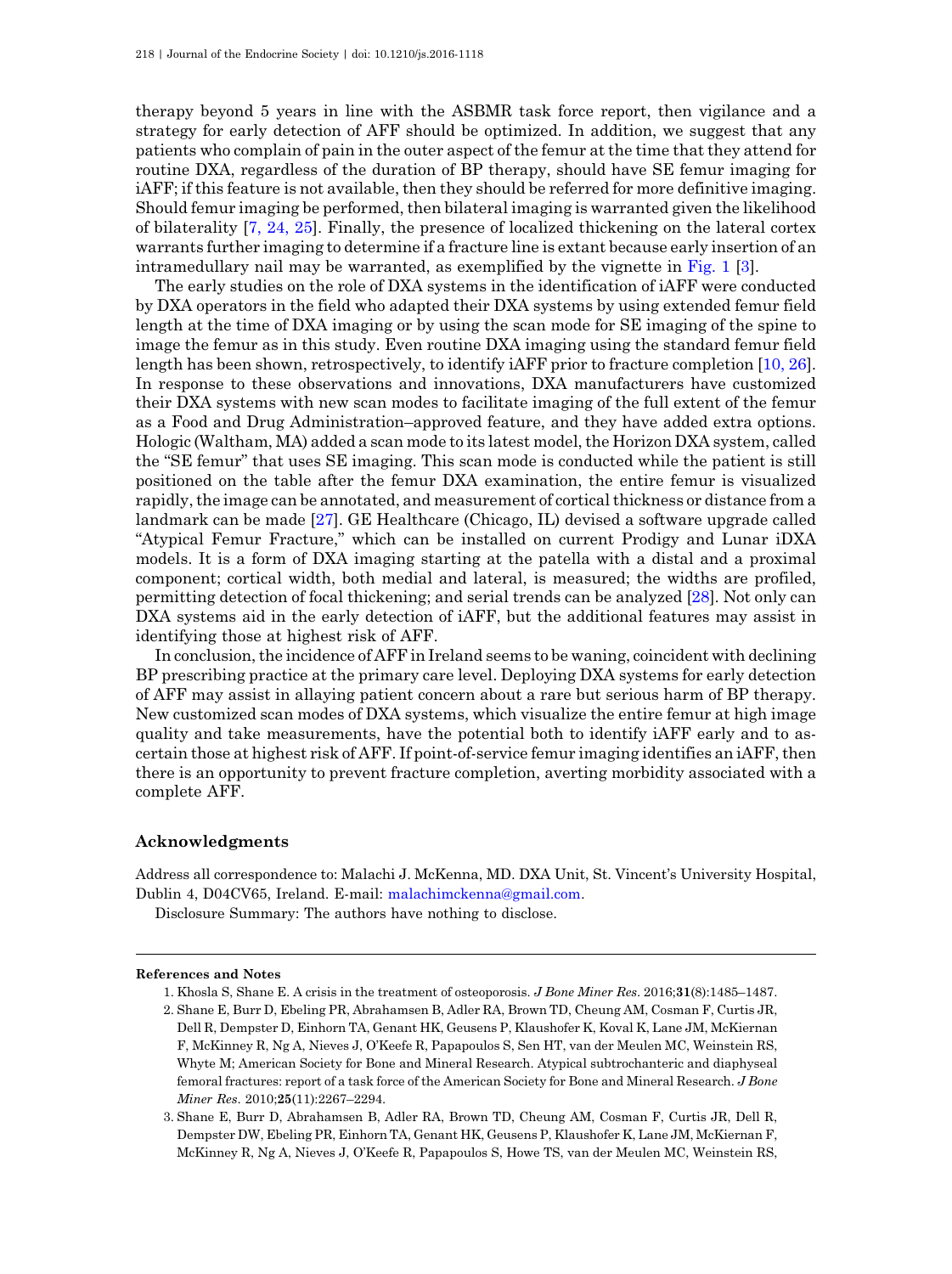<span id="page-7-0"></span>therapy beyond 5 years in line with the ASBMR task force report, then vigilance and a strategy for early detection of AFF should be optimized. In addition, we suggest that any patients who complain of pain in the outer aspect of the femur at the time that they attend for routine DXA, regardless of the duration of BP therapy, should have SE femur imaging for iAFF; if this feature is not available, then they should be referred for more definitive imaging. Should femur imaging be performed, then bilateral imaging is warranted given the likelihood of bilaterality [7, 24, 25]. Finally, the presence of localized thickening on the lateral cortex warrants further imaging to determine if a fracture line is extant because early insertion of an intramedullary nail may be warranted, as exemplified by the vignette in [Fig. 1](#page-1-0) [3].

The early studies on the role of DXA systems in the identification of iAFF were conducted by DXA operators in the field who adapted their DXA systems by using extended femur field length at the time of DXA imaging or by using the scan mode for SE imaging of the spine to image the femur as in this study. Even routine DXA imaging using the standard femur field length has been shown, retrospectively, to identify iAFF prior to fracture completion [10, 26]. In response to these observations and innovations, DXA manufacturers have customized their DXA systems with new scan modes to facilitate imaging of the full extent of the femur as a Food and Drug Administration–approved feature, and they have added extra options. Hologic (Waltham, MA) added a scan mode to its latest model, the Horizon DXA system, called the "SE femur" that uses SE imaging. This scan mode is conducted while the patient is still positioned on the table after the femur DXA examination, the entire femur is visualized rapidly, the image can be annotated, and measurement of cortical thickness or distance from a landmark can be made [[27](#page-9-0)]. GE Healthcare (Chicago, IL) devised a software upgrade called "Atypical Femur Fracture," which can be installed on current Prodigy and Lunar iDXA models. It is a form of DXA imaging starting at the patella with a distal and a proximal component; cortical width, both medial and lateral, is measured; the widths are profiled, permitting detection of focal thickening; and serial trends can be analyzed [\[28](#page-9-0)]. Not only can DXA systems aid in the early detection of iAFF, but the additional features may assist in identifying those at highest risk of AFF.

In conclusion, the incidence of AFF in Ireland seems to be waning, coincident with declining BP prescribing practice at the primary care level. Deploying DXA systems for early detection of AFF may assist in allaying patient concern about a rare but serious harm of BP therapy. New customized scan modes of DXA systems, which visualize the entire femur at high image quality and take measurements, have the potential both to identify iAFF early and to ascertain those at highest risk of AFF. If point-of-service femur imaging identifies an iAFF, then there is an opportunity to prevent fracture completion, averting morbidity associated with a complete AFF.

#### Acknowledgments

Address all correspondence to: Malachi J. McKenna, MD. DXA Unit, St. Vincent's University Hospital, Dublin 4, D04CV65, Ireland. E-mail: [malachimckenna@gmail.com](mailto:malachimckenna@gmail.com).

Disclosure Summary: The authors have nothing to disclose.

#### References and Notes

- 1. Khosla S, Shane E. A crisis in the treatment of osteoporosis. J Bone Miner Res. 2016;31(8):1485–1487.
- 2. Shane E, Burr D, Ebeling PR, Abrahamsen B, Adler RA, Brown TD, Cheung AM, Cosman F, Curtis JR, Dell R, Dempster D, Einhorn TA, Genant HK, Geusens P, Klaushofer K, Koval K, Lane JM, McKiernan F, McKinney R, Ng A, Nieves J, O'Keefe R, Papapoulos S, Sen HT, van der Meulen MC, Weinstein RS, Whyte M; American Society for Bone and Mineral Research. Atypical subtrochanteric and diaphyseal femoral fractures: report of a task force of the American Society for Bone and Mineral Research. J Bone Miner Res. 2010;25(11):2267–2294.
- 3. Shane E, Burr D, Abrahamsen B, Adler RA, Brown TD, Cheung AM, Cosman F, Curtis JR, Dell R, Dempster DW, Ebeling PR, Einhorn TA, Genant HK, Geusens P, Klaushofer K, Lane JM, McKiernan F, McKinney R, Ng A, Nieves J, O'Keefe R, Papapoulos S, Howe TS, van der Meulen MC, Weinstein RS,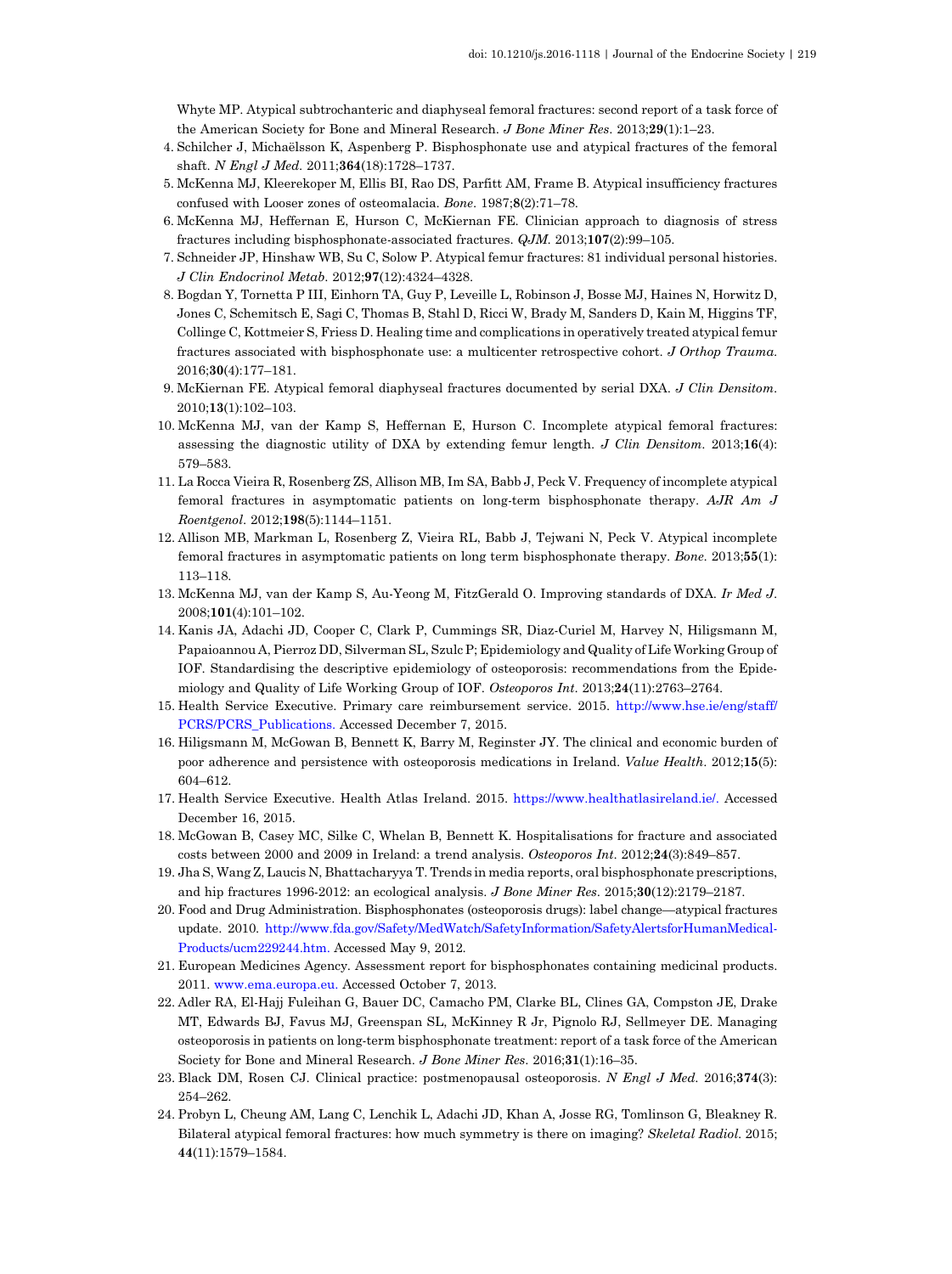<span id="page-8-0"></span>Whyte MP. Atypical subtrochanteric and diaphyseal femoral fractures: second report of a task force of the American Society for Bone and Mineral Research. J Bone Miner Res. 2013;29(1):1–23.

- 4. Schilcher J, Michaëlsson K, Aspenberg P. Bisphosphonate use and atypical fractures of the femoral shaft. N Engl J Med. 2011;364(18):1728–1737.
- 5. McKenna MJ, Kleerekoper M, Ellis BI, Rao DS, Parfitt AM, Frame B. Atypical insufficiency fractures confused with Looser zones of osteomalacia. Bone. 1987;8(2):71–78.
- 6. McKenna MJ, Heffernan E, Hurson C, McKiernan FE. Clinician approach to diagnosis of stress fractures including bisphosphonate-associated fractures. QJM. 2013;107(2):99–105.
- 7. Schneider JP, Hinshaw WB, Su C, Solow P. Atypical femur fractures: 81 individual personal histories. J Clin Endocrinol Metab. 2012;97(12):4324–4328.
- 8. Bogdan Y, Tornetta P III, Einhorn TA, Guy P, Leveille L, Robinson J, Bosse MJ, Haines N, Horwitz D, Jones C, Schemitsch E, Sagi C, Thomas B, Stahl D, Ricci W, Brady M, Sanders D, Kain M, Higgins TF, Collinge C, Kottmeier S, Friess D. Healing time and complications in operatively treated atypical femur fractures associated with bisphosphonate use: a multicenter retrospective cohort. J Orthop Trauma. 2016;30(4):177–181.
- 9. McKiernan FE. Atypical femoral diaphyseal fractures documented by serial DXA. J Clin Densitom. 2010;13(1):102–103.
- 10. McKenna MJ, van der Kamp S, Heffernan E, Hurson C. Incomplete atypical femoral fractures: assessing the diagnostic utility of DXA by extending femur length. J Clin Densitom. 2013;16(4): 579–583.
- 11. La Rocca Vieira R, Rosenberg ZS, Allison MB, Im SA, Babb J, Peck V. Frequency of incomplete atypical femoral fractures in asymptomatic patients on long-term bisphosphonate therapy. AJR Am J Roentgenol. 2012;198(5):1144–1151.
- 12. Allison MB, Markman L, Rosenberg Z, Vieira RL, Babb J, Tejwani N, Peck V. Atypical incomplete femoral fractures in asymptomatic patients on long term bisphosphonate therapy. Bone. 2013;55(1): 113–118.
- 13. McKenna MJ, van der Kamp S, Au-Yeong M, FitzGerald O. Improving standards of DXA. Ir Med J. 2008;101(4):101–102.
- 14. Kanis JA, Adachi JD, Cooper C, Clark P, Cummings SR, Diaz-Curiel M, Harvey N, Hiligsmann M, Papaioannou A, Pierroz DD, Silverman SL, Szulc P; Epidemiology and Quality of Life Working Group of IOF. Standardising the descriptive epidemiology of osteoporosis: recommendations from the Epidemiology and Quality of Life Working Group of IOF. Osteoporos Int. 2013;24(11):2763–2764.
- 15. Health Service Executive. Primary care reimbursement service. 2015. [http://www.hse.ie/eng/staff/](http://www.hse.ie/eng/staff/PCRS/PCRS_Publications.) [PCRS/PCRS\\_Publications.](http://www.hse.ie/eng/staff/PCRS/PCRS_Publications.) Accessed December 7, 2015.
- 16. Hiligsmann M, McGowan B, Bennett K, Barry M, Reginster JY. The clinical and economic burden of poor adherence and persistence with osteoporosis medications in Ireland. Value Health. 2012;15(5): 604–612.
- 17. Health Service Executive. Health Atlas Ireland. 2015. <https://www.healthatlasireland.ie/.> Accessed December 16, 2015.
- 18. McGowan B, Casey MC, Silke C, Whelan B, Bennett K. Hospitalisations for fracture and associated costs between 2000 and 2009 in Ireland: a trend analysis. Osteoporos Int. 2012;24(3):849–857.
- 19. Jha S, Wang Z, Laucis N, Bhattacharyya T. Trends in media reports, oral bisphosphonate prescriptions, and hip fractures 1996-2012: an ecological analysis. J Bone Miner Res. 2015;30(12):2179–2187.
- 20. Food and Drug Administration. Bisphosphonates (osteoporosis drugs): label change—atypical fractures update. 2010. [http://www.fda.gov/Safety/MedWatch/SafetyInformation/SafetyAlertsforHumanMedical-](http://www.fda.gov/Safety/MedWatch/SafetyInformation/SafetyAlertsforHumanMedicalProducts/ucm229244.htm.)[Products/ucm229244.htm.](http://www.fda.gov/Safety/MedWatch/SafetyInformation/SafetyAlertsforHumanMedicalProducts/ucm229244.htm.) Accessed May 9, 2012.
- 21. European Medicines Agency. Assessment report for bisphosphonates containing medicinal products. 2011. [www.ema.europa.eu.](http://www.ema.europa.eu.) Accessed October 7, 2013.
- 22. Adler RA, El-Hajj Fuleihan G, Bauer DC, Camacho PM, Clarke BL, Clines GA, Compston JE, Drake MT, Edwards BJ, Favus MJ, Greenspan SL, McKinney R Jr, Pignolo RJ, Sellmeyer DE. Managing osteoporosis in patients on long-term bisphosphonate treatment: report of a task force of the American Society for Bone and Mineral Research. J Bone Miner Res. 2016;31(1):16–35.
- 23. Black DM, Rosen CJ. Clinical practice: postmenopausal osteoporosis. N Engl J Med. 2016;374(3): 254–262.
- 24. Probyn L, Cheung AM, Lang C, Lenchik L, Adachi JD, Khan A, Josse RG, Tomlinson G, Bleakney R. Bilateral atypical femoral fractures: how much symmetry is there on imaging? Skeletal Radiol. 2015; 44(11):1579–1584.